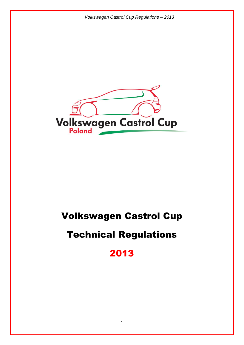

# Volkswagen Castrol Cup

# Technical Regulations

2013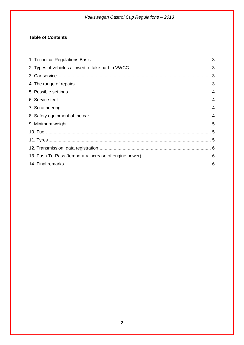# **Table of Contents**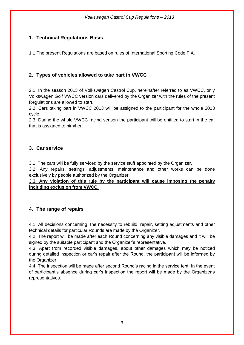# <span id="page-2-0"></span>**1. Technical Regulations Basis**

1.1 The present Regulations are based on rules of International Sporting Code FIA.

## <span id="page-2-1"></span>**2. Types of vehicles allowed to take part in VWCC**

2.1. In the season 2013 of Volkswagen Castrol Cup, hereinafter referred to as VWCC, only Volkswagen Golf VWCC version cars delivered by the Organizer with the rules of the present Regulations are allowed to start.

2.2. Cars taking part in VWCC 2013 will be assigned to the participant for the whole 2013 cycle.

2.3. During the whole VWCC racing season the participant will be entitled to start in the car that is assigned to him/her.

## <span id="page-2-2"></span>**3. Car service**

3.1. The cars will be fully serviced by the service stuff appointed by the Organizer.

3.2. Any repairs, settings, adjustments, maintenance and other works can be done exclusively by people authorized by the Organizer.

3.3**. Any violation of this rule by the participant will cause imposing the penalty including exclusion from VWCC.**

## <span id="page-2-3"></span>**4. The range of repairs**

4.1. All decisions concerning: the necessity to rebuild, repair, setting adjustments and other technical details for particular Rounds are made by the Organizer.

4.2. The report will be made after each Round concerning any visible damages and it will be signed by the suitable participant and the Organizer's representative.

4.3. Apart from recorded visible damages, about other damages which may be noticed during detailed inspection or car's repair after the Round, the participant will be informed by the Organizer.

<span id="page-2-4"></span>4.4. The inspection will be made after second Round's racing in the service tent. In the event of participant's absence during car's inspection the report will be made by the Organizer's representatives.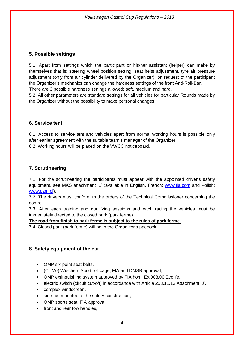#### **5. Possible settings**

5.1. Apart from settings which the participant or his/her assistant (helper) can make by themselves that is: steering wheel position setting, seat belts adjustment, tyre air pressure adjustment (only from air cylinder delivered by the Organizer), on request of the participant the Organizer's mechanics can change the hardness settings of the front Anti-Roll-Bar.

There are 3 possible hardness settings allowed: soft, medium and hard.

5.2. All other parameters are standard settings for all vehicles for particular Rounds made by the Organizer without the possibility to make personal changes.

#### <span id="page-3-0"></span>**6. Service tent**

6.1. Access to service tent and vehicles apart from normal working hours is possible only after earlier agreement with the suitable team's manager of the Organizer.

6.2. Working hours will be placed on the VWCC noticeboard.

## <span id="page-3-1"></span>**7. Scrutineering**

7.1. For the scrutineering the participants must appear with the appointed driver's safety equipment, see MKS attachment 'L' (available in English, French: [www.fia.com](http://www.fia.com/) and Polish: [www.pzm.pl\)](http://www.pzm.pl/).

7.2. The drivers must conform to the orders of the Technical Commissioner concerning the control.

7.3. After each training and qualifying sessions and each racing the vehicles must be immediately directed to the closed park (park ferme).

#### **The road from finish to park ferme is subject to the rules of park ferme.**

7.4. Closed park (park ferme) will be in the Organizer's paddock.

#### <span id="page-3-2"></span>**8. Safety equipment of the car**

- OMP six-point seat belts,
- (Cr-Mo) Wiechers Sport roll cage, FIA and DMSB approval,
- OMP extinguishing system approved by FIA hom. Ex.008.00 Ecolife,
- electric switch (circuit cut-off) in accordance with Article 253.11,13 Attachment 'J',
- complex windscreen.
- side net mounted to the safety construction,
- OMP sports seat, FIA approval,
- front and rear tow handles.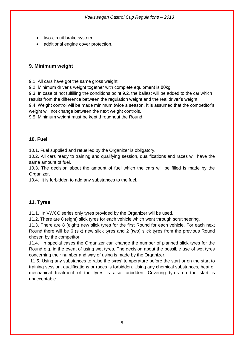- two-circuit brake system,
- additional engine cover protection.

#### <span id="page-4-0"></span>**9. Minimum weight**

9.1. All cars have got the same gross weight.

9.2. Minimum driver's weight together with complete equipment is 80kg.

9.3. In case of not fulfilling the conditions point 9.2. the ballast will be added to the car which results from the difference between the regulation weight and the real driver's weight.

9.4. Weight control will be made minimum twice a season. It is assumed that the competitor's weight will not change between the next weight controls.

9.5. Minimum weight must be kept throughout the Round.

#### <span id="page-4-1"></span>**10. Fuel**

10.1. Fuel supplied and refuelled by the Organizer is obligatory.

10.2. All cars ready to training and qualifying session, qualifications and races will have the same amount of fuel.

10.3. The decision about the amount of fuel which the cars will be filled is made by the Organizer.

10.4. It is forbidden to add any substances to the fuel.

## <span id="page-4-2"></span>**11. Tyres**

11.1. In VWCC series only tyres provided by the Organizer will be used.

11.2. There are 8 (eight) slick tyres for each vehicle which went through scrutineering.

11.3. There are 8 (eight) new slick tyres for the first Round for each vehicle. For each next Round there will be 6 (six) new slick tyres and 2 (two) slick tyres from the previous Round chosen by the competitor.

11.4. In special cases the Organizer can change the number of planned slick tyres for the Round e.g. in the event of using wet tyres. The decision about the possible use of wet tyres concerning their number and way of using is made by the Organizer.

11.5. Using any substances to raise the tyres' temperature before the start or on the start to training session, qualifications or races is forbidden. Using any chemical substances, heat or mechanical treatment of the tyres is also forbidden. Covering tyres on the start is unacceptable.